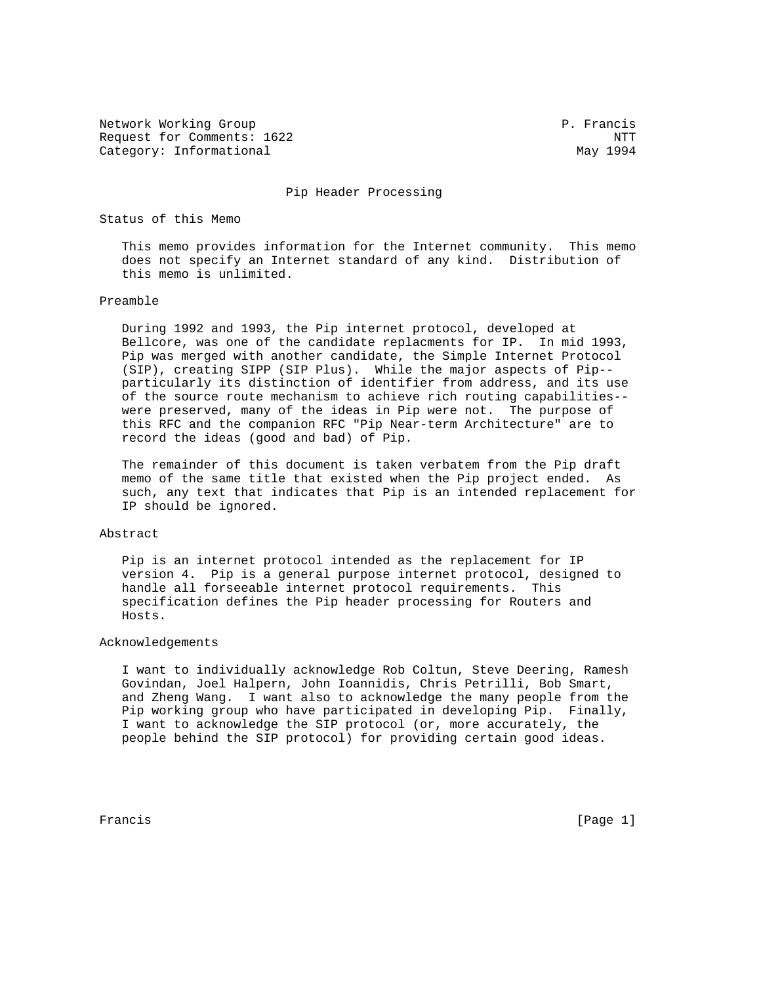Network Working Group **P. Francis** Request for Comments: 1622 NTT Category: Informational May 1994

#### Pip Header Processing

Status of this Memo

 This memo provides information for the Internet community. This memo does not specify an Internet standard of any kind. Distribution of this memo is unlimited.

#### Preamble

 During 1992 and 1993, the Pip internet protocol, developed at Bellcore, was one of the candidate replacments for IP. In mid 1993, Pip was merged with another candidate, the Simple Internet Protocol (SIP), creating SIPP (SIP Plus). While the major aspects of Pip- particularly its distinction of identifier from address, and its use of the source route mechanism to achieve rich routing capabilities- were preserved, many of the ideas in Pip were not. The purpose of this RFC and the companion RFC "Pip Near-term Architecture" are to record the ideas (good and bad) of Pip.

 The remainder of this document is taken verbatem from the Pip draft memo of the same title that existed when the Pip project ended. As such, any text that indicates that Pip is an intended replacement for IP should be ignored.

#### Abstract

 Pip is an internet protocol intended as the replacement for IP version 4. Pip is a general purpose internet protocol, designed to handle all forseeable internet protocol requirements. This specification defines the Pip header processing for Routers and Hosts.

#### Acknowledgements

 I want to individually acknowledge Rob Coltun, Steve Deering, Ramesh Govindan, Joel Halpern, John Ioannidis, Chris Petrilli, Bob Smart, and Zheng Wang. I want also to acknowledge the many people from the Pip working group who have participated in developing Pip. Finally, I want to acknowledge the SIP protocol (or, more accurately, the people behind the SIP protocol) for providing certain good ideas.

Francis [Page 1]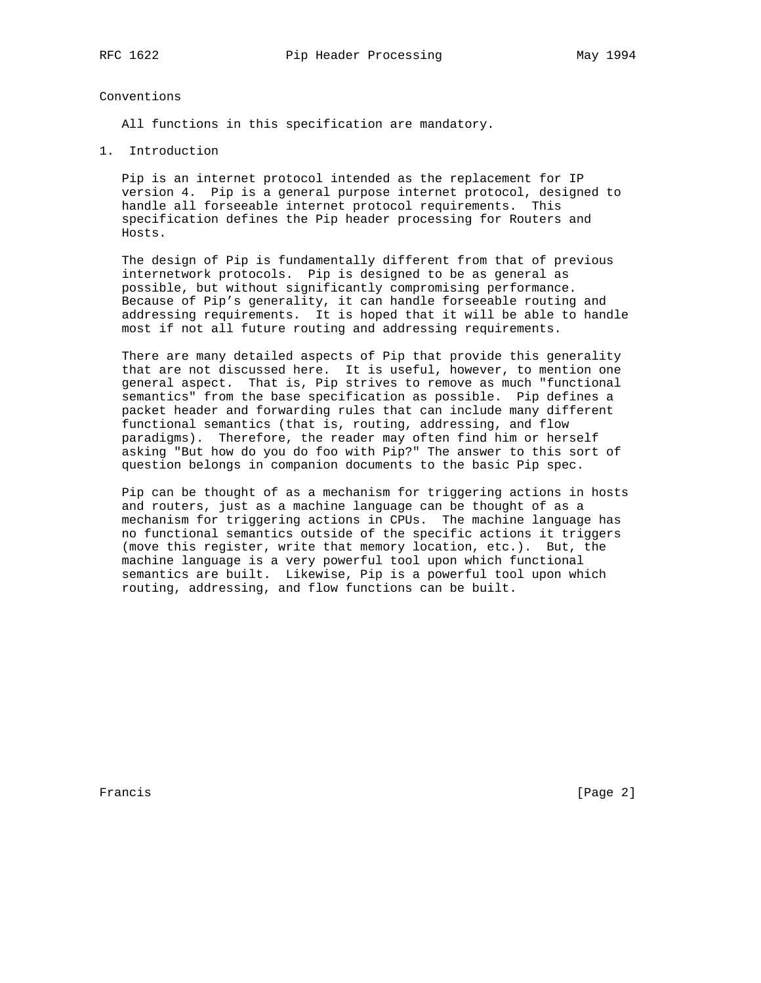### Conventions

All functions in this specification are mandatory.

1. Introduction

 Pip is an internet protocol intended as the replacement for IP version 4. Pip is a general purpose internet protocol, designed to handle all forseeable internet protocol requirements. This specification defines the Pip header processing for Routers and Hosts.

 The design of Pip is fundamentally different from that of previous internetwork protocols. Pip is designed to be as general as possible, but without significantly compromising performance. Because of Pip's generality, it can handle forseeable routing and addressing requirements. It is hoped that it will be able to handle most if not all future routing and addressing requirements.

 There are many detailed aspects of Pip that provide this generality that are not discussed here. It is useful, however, to mention one general aspect. That is, Pip strives to remove as much "functional semantics" from the base specification as possible. Pip defines a packet header and forwarding rules that can include many different functional semantics (that is, routing, addressing, and flow paradigms). Therefore, the reader may often find him or herself asking "But how do you do foo with Pip?" The answer to this sort of question belongs in companion documents to the basic Pip spec.

 Pip can be thought of as a mechanism for triggering actions in hosts and routers, just as a machine language can be thought of as a mechanism for triggering actions in CPUs. The machine language has no functional semantics outside of the specific actions it triggers (move this register, write that memory location, etc.). But, the machine language is a very powerful tool upon which functional semantics are built. Likewise, Pip is a powerful tool upon which routing, addressing, and flow functions can be built.

Francis [Page 2]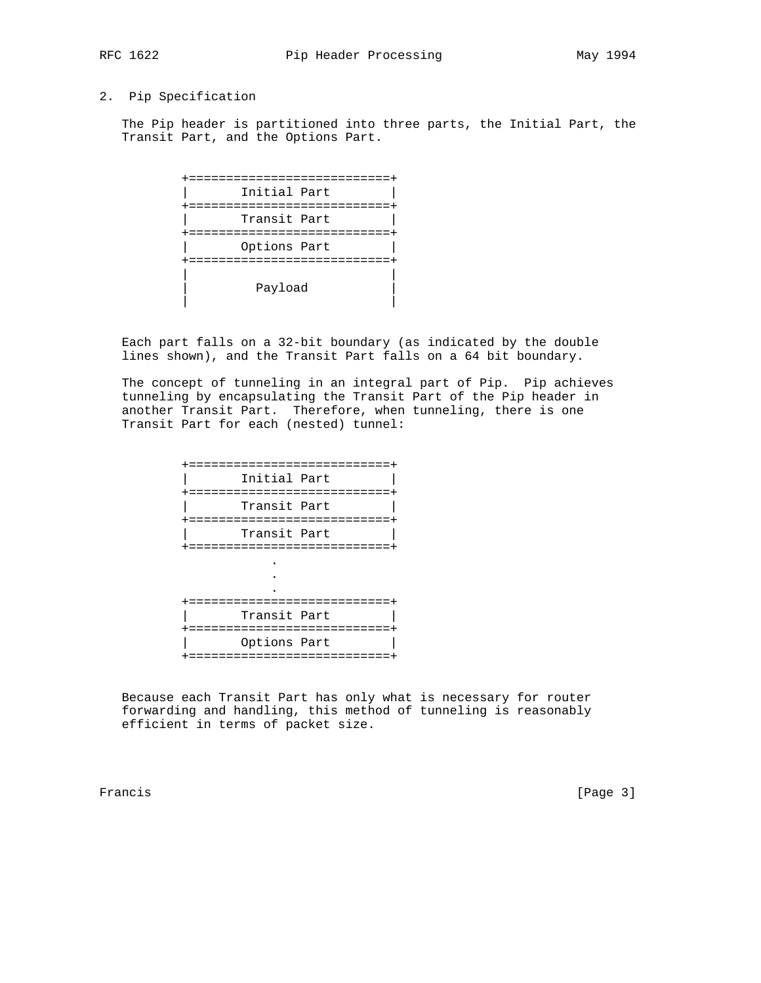# 2. Pip Specification

 The Pip header is partitioned into three parts, the Initial Part, the Transit Part, and the Options Part.

| ==================                  |
|-------------------------------------|
| Initial Part<br>=================   |
| Transit Part<br>=================== |
| Options Part<br>=================== |
| Payload                             |

 Each part falls on a 32-bit boundary (as indicated by the double lines shown), and the Transit Part falls on a 64 bit boundary.

 The concept of tunneling in an integral part of Pip. Pip achieves tunneling by encapsulating the Transit Part of the Pip header in another Transit Part. Therefore, when tunneling, there is one Transit Part for each (nested) tunnel:

| +=============================                                    |
|-------------------------------------------------------------------|
| Initial Part<br>+=============================                    |
| Transit Part<br>=========================                         |
| Transit Part<br>==========================                        |
|                                                                   |
|                                                                   |
| =======================<br>Transit Part<br>====================== |
| Options Part<br>=======================                           |
|                                                                   |

 Because each Transit Part has only what is necessary for router forwarding and handling, this method of tunneling is reasonably efficient in terms of packet size.

Francis [Page 3]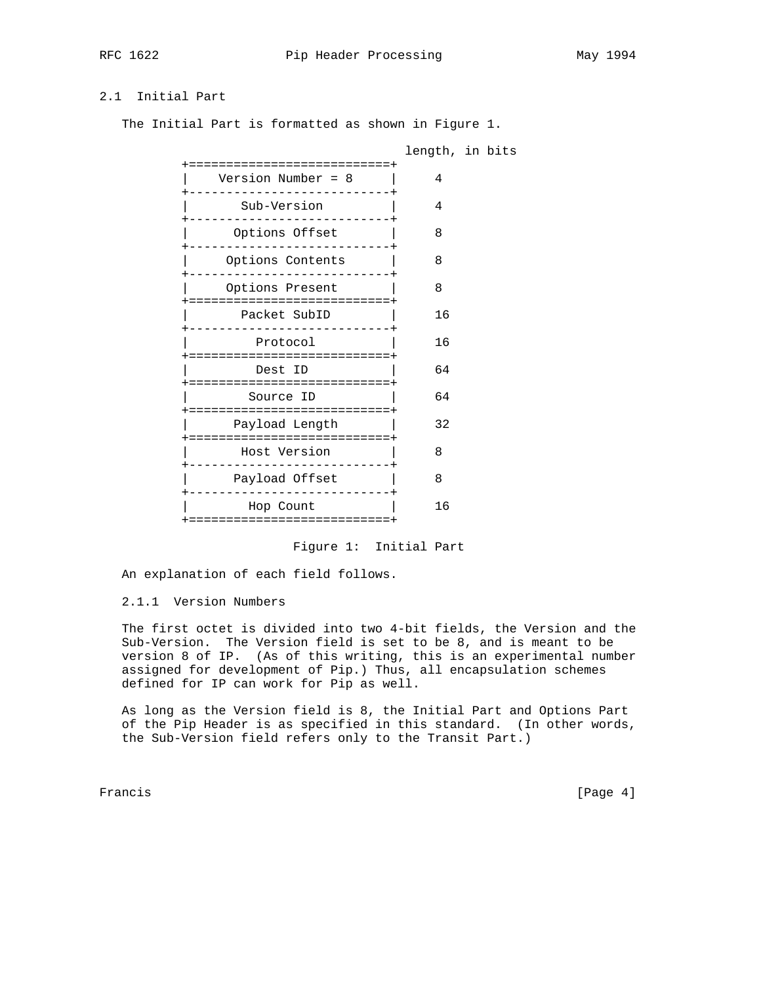# 2.1 Initial Part

The Initial Part is formatted as shown in Figure 1.

|                                                    |    | length, in bits |
|----------------------------------------------------|----|-----------------|
| ============================<br>Version Number = 8 | 4  |                 |
| Sub-Version                                        | 4  |                 |
| Options Offset                                     | 8  |                 |
| Options Contents                                   | 8  |                 |
| Options Present                                    | 8  |                 |
| Packet SubID<br>-----------------------------      | 16 |                 |
| Protocol                                           | 16 |                 |
| ===========================<br>Dest ID             | 64 |                 |
| :==========================<br>Source ID           | 64 |                 |
| ========================<br>Payload Length         | 32 |                 |
| +=============================<br>Host Version     | 8  |                 |
| Payload Offset                                     | 8  |                 |
| Hop Count                                          | 16 |                 |
| +============================                      |    |                 |

Figure 1: Initial Part

An explanation of each field follows.

# 2.1.1 Version Numbers

 The first octet is divided into two 4-bit fields, the Version and the Sub-Version. The Version field is set to be 8, and is meant to be version 8 of IP. (As of this writing, this is an experimental number assigned for development of Pip.) Thus, all encapsulation schemes defined for IP can work for Pip as well.

 As long as the Version field is 8, the Initial Part and Options Part of the Pip Header is as specified in this standard. (In other words, the Sub-Version field refers only to the Transit Part.)

Francis [Page 4]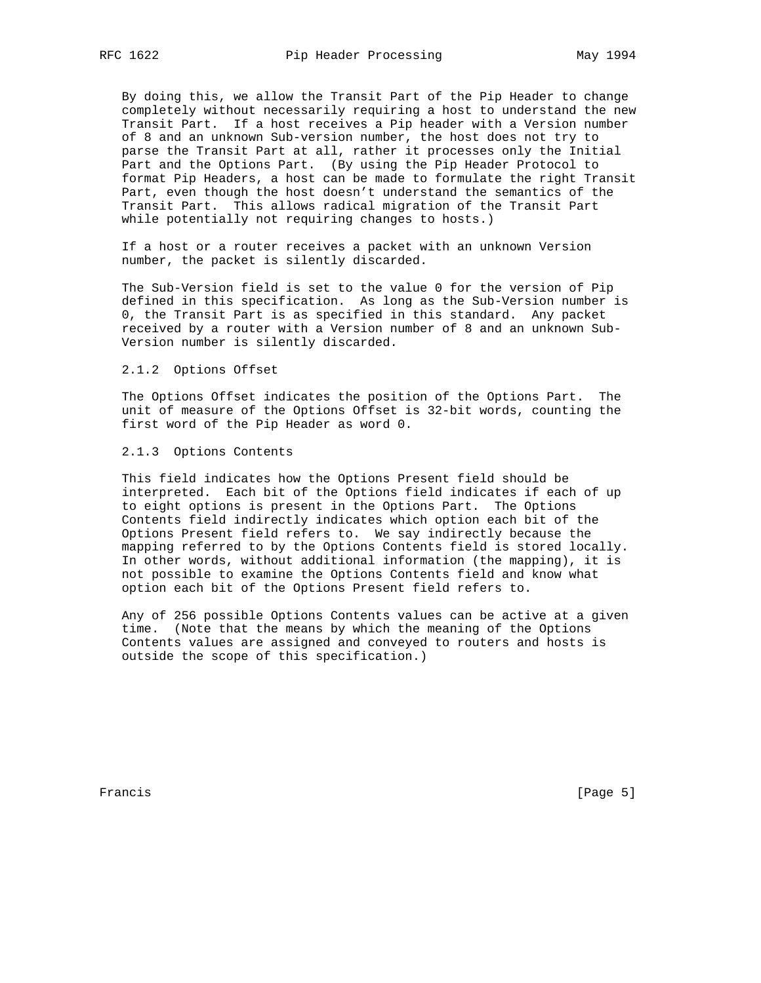By doing this, we allow the Transit Part of the Pip Header to change completely without necessarily requiring a host to understand the new Transit Part. If a host receives a Pip header with a Version number of 8 and an unknown Sub-version number, the host does not try to parse the Transit Part at all, rather it processes only the Initial Part and the Options Part. (By using the Pip Header Protocol to format Pip Headers, a host can be made to formulate the right Transit Part, even though the host doesn't understand the semantics of the Transit Part. This allows radical migration of the Transit Part while potentially not requiring changes to hosts.)

 If a host or a router receives a packet with an unknown Version number, the packet is silently discarded.

 The Sub-Version field is set to the value 0 for the version of Pip defined in this specification. As long as the Sub-Version number is 0, the Transit Part is as specified in this standard. Any packet received by a router with a Version number of 8 and an unknown Sub- Version number is silently discarded.

#### 2.1.2 Options Offset

 The Options Offset indicates the position of the Options Part. The unit of measure of the Options Offset is 32-bit words, counting the first word of the Pip Header as word 0.

#### 2.1.3 Options Contents

 This field indicates how the Options Present field should be interpreted. Each bit of the Options field indicates if each of up to eight options is present in the Options Part. The Options Contents field indirectly indicates which option each bit of the Options Present field refers to. We say indirectly because the mapping referred to by the Options Contents field is stored locally. In other words, without additional information (the mapping), it is not possible to examine the Options Contents field and know what option each bit of the Options Present field refers to.

 Any of 256 possible Options Contents values can be active at a given time. (Note that the means by which the meaning of the Options Contents values are assigned and conveyed to routers and hosts is outside the scope of this specification.)

Francis [Page 5]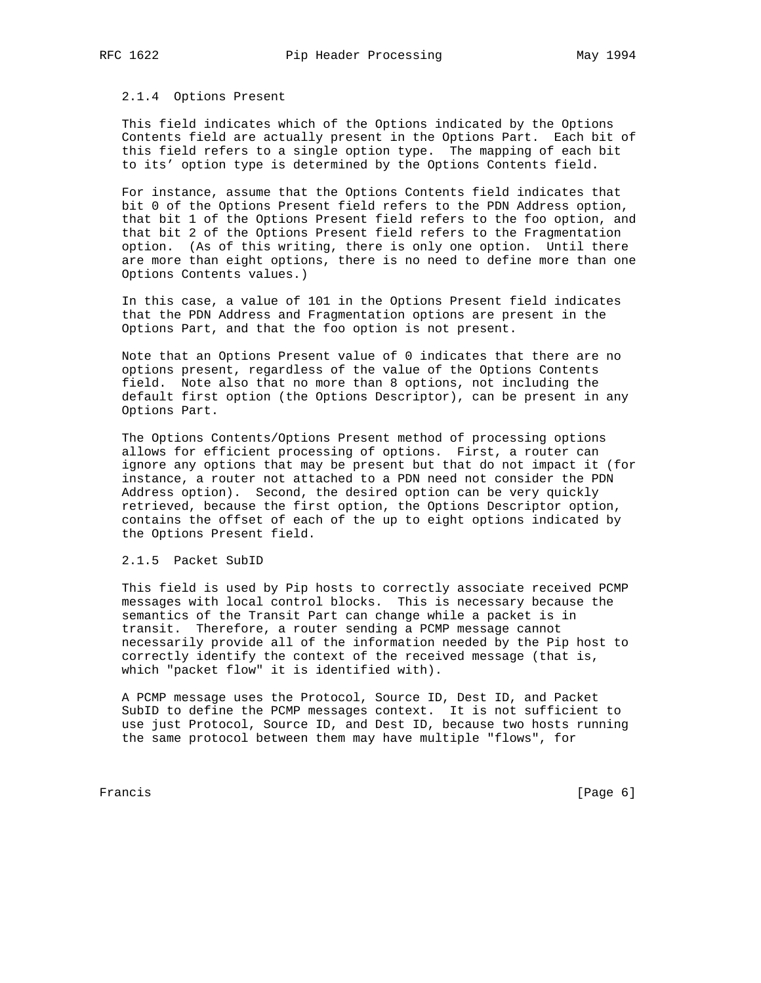#### 2.1.4 Options Present

 This field indicates which of the Options indicated by the Options Contents field are actually present in the Options Part. Each bit of this field refers to a single option type. The mapping of each bit to its' option type is determined by the Options Contents field.

 For instance, assume that the Options Contents field indicates that bit 0 of the Options Present field refers to the PDN Address option, that bit 1 of the Options Present field refers to the foo option, and that bit 2 of the Options Present field refers to the Fragmentation option. (As of this writing, there is only one option. Until there are more than eight options, there is no need to define more than one Options Contents values.)

 In this case, a value of 101 in the Options Present field indicates that the PDN Address and Fragmentation options are present in the Options Part, and that the foo option is not present.

 Note that an Options Present value of 0 indicates that there are no options present, regardless of the value of the Options Contents field. Note also that no more than 8 options, not including the default first option (the Options Descriptor), can be present in any Options Part.

 The Options Contents/Options Present method of processing options allows for efficient processing of options. First, a router can ignore any options that may be present but that do not impact it (for instance, a router not attached to a PDN need not consider the PDN Address option). Second, the desired option can be very quickly retrieved, because the first option, the Options Descriptor option, contains the offset of each of the up to eight options indicated by the Options Present field.

### 2.1.5 Packet SubID

 This field is used by Pip hosts to correctly associate received PCMP messages with local control blocks. This is necessary because the semantics of the Transit Part can change while a packet is in transit. Therefore, a router sending a PCMP message cannot necessarily provide all of the information needed by the Pip host to correctly identify the context of the received message (that is, which "packet flow" it is identified with).

 A PCMP message uses the Protocol, Source ID, Dest ID, and Packet SubID to define the PCMP messages context. It is not sufficient to use just Protocol, Source ID, and Dest ID, because two hosts running the same protocol between them may have multiple "flows", for

Francis [Page 6]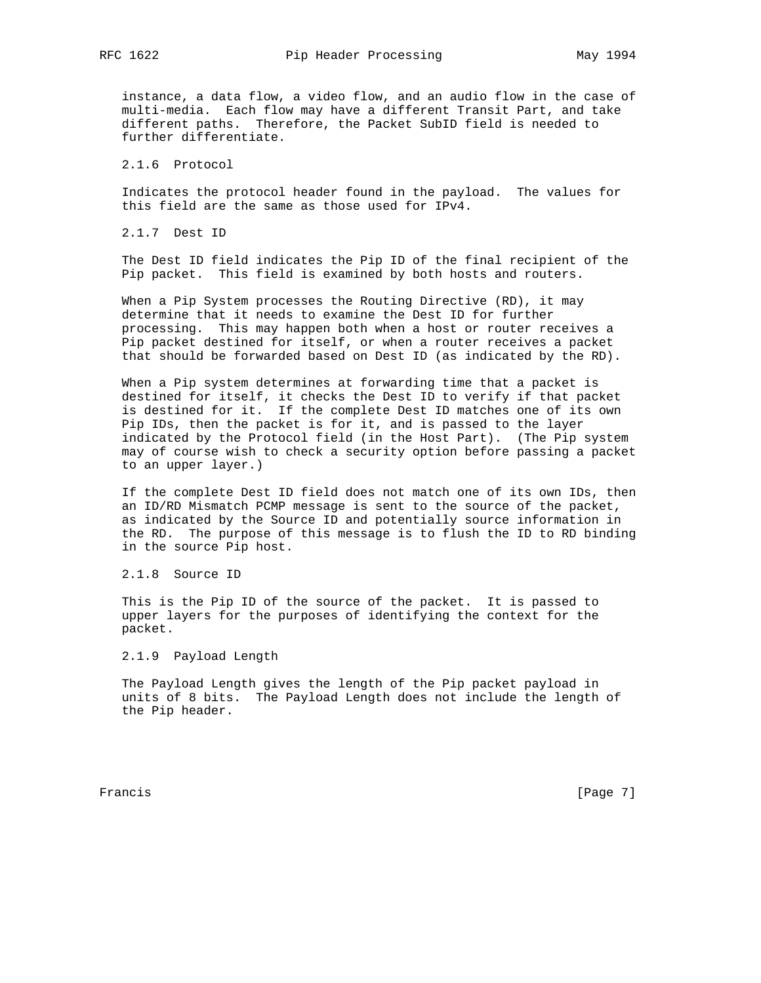instance, a data flow, a video flow, and an audio flow in the case of multi-media. Each flow may have a different Transit Part, and take different paths. Therefore, the Packet SubID field is needed to further differentiate.

2.1.6 Protocol

 Indicates the protocol header found in the payload. The values for this field are the same as those used for IPv4.

2.1.7 Dest ID

 The Dest ID field indicates the Pip ID of the final recipient of the Pip packet. This field is examined by both hosts and routers.

 When a Pip System processes the Routing Directive (RD), it may determine that it needs to examine the Dest ID for further processing. This may happen both when a host or router receives a Pip packet destined for itself, or when a router receives a packet that should be forwarded based on Dest ID (as indicated by the RD).

 When a Pip system determines at forwarding time that a packet is destined for itself, it checks the Dest ID to verify if that packet is destined for it. If the complete Dest ID matches one of its own Pip IDs, then the packet is for it, and is passed to the layer indicated by the Protocol field (in the Host Part). (The Pip system may of course wish to check a security option before passing a packet to an upper layer.)

 If the complete Dest ID field does not match one of its own IDs, then an ID/RD Mismatch PCMP message is sent to the source of the packet, as indicated by the Source ID and potentially source information in the RD. The purpose of this message is to flush the ID to RD binding in the source Pip host.

2.1.8 Source ID

 This is the Pip ID of the source of the packet. It is passed to upper layers for the purposes of identifying the context for the packet.

2.1.9 Payload Length

 The Payload Length gives the length of the Pip packet payload in units of 8 bits. The Payload Length does not include the length of the Pip header.

Francis [Page 7]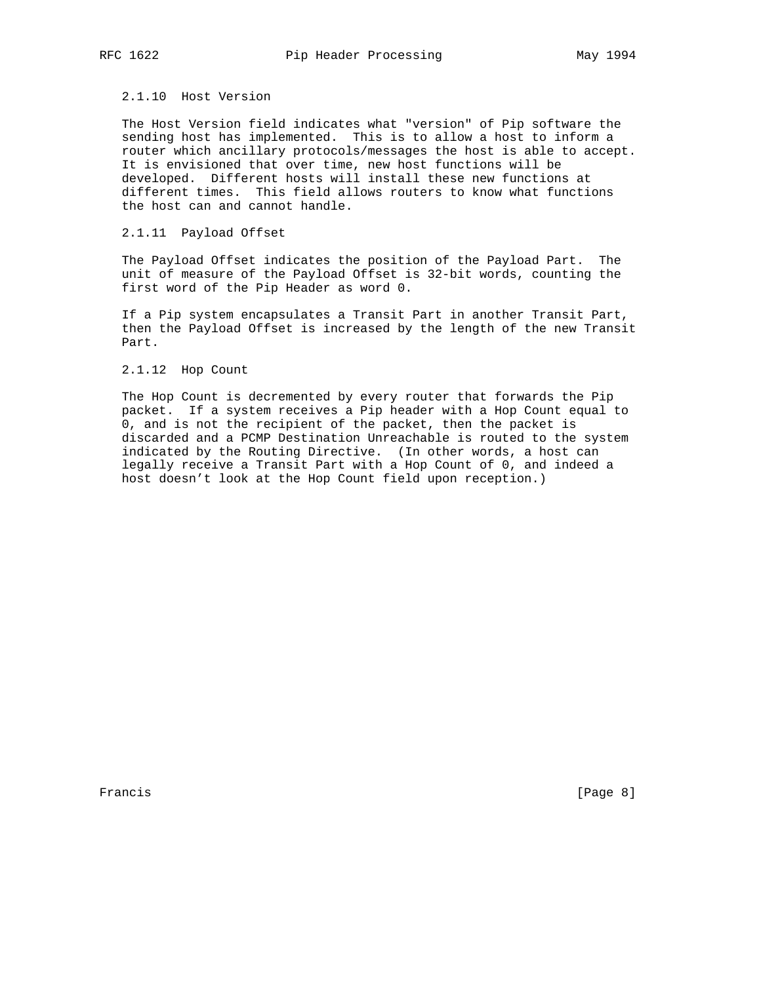# 2.1.10 Host Version

 The Host Version field indicates what "version" of Pip software the sending host has implemented. This is to allow a host to inform a router which ancillary protocols/messages the host is able to accept. It is envisioned that over time, new host functions will be developed. Different hosts will install these new functions at different times. This field allows routers to know what functions the host can and cannot handle.

### 2.1.11 Payload Offset

 The Payload Offset indicates the position of the Payload Part. The unit of measure of the Payload Offset is 32-bit words, counting the first word of the Pip Header as word 0.

 If a Pip system encapsulates a Transit Part in another Transit Part, then the Payload Offset is increased by the length of the new Transit Part.

#### 2.1.12 Hop Count

 The Hop Count is decremented by every router that forwards the Pip packet. If a system receives a Pip header with a Hop Count equal to 0, and is not the recipient of the packet, then the packet is discarded and a PCMP Destination Unreachable is routed to the system indicated by the Routing Directive. (In other words, a host can legally receive a Transit Part with a Hop Count of 0, and indeed a host doesn't look at the Hop Count field upon reception.)

Francis [Page 8]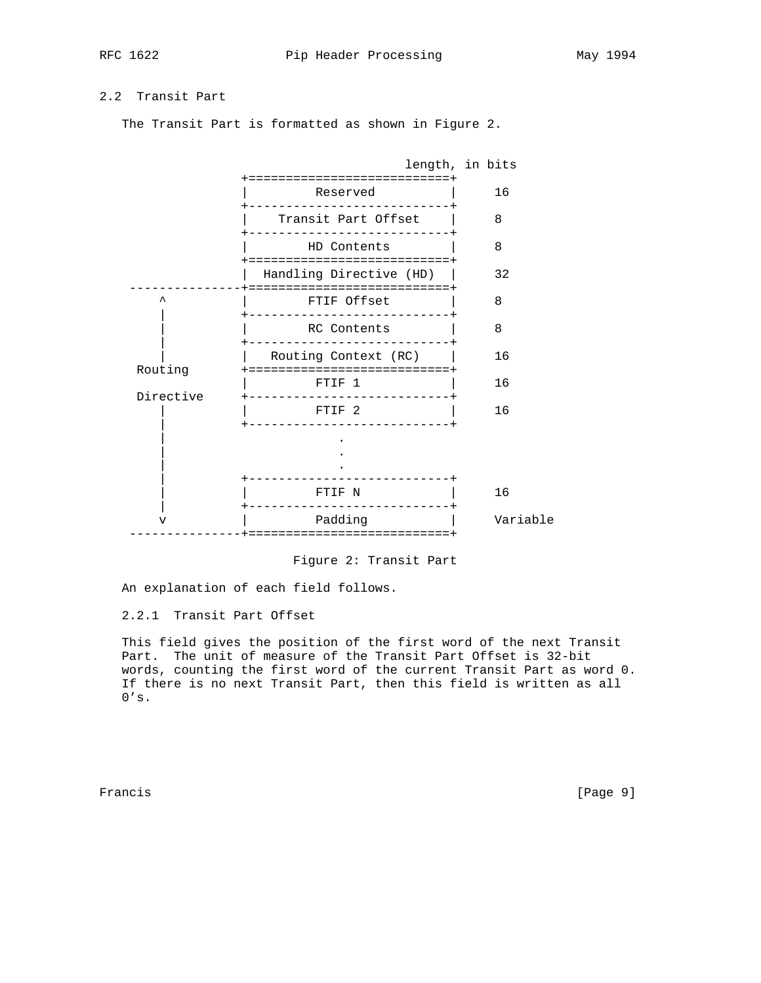# 2.2 Transit Part

The Transit Part is formatted as shown in Figure 2.



Figure 2: Transit Part

An explanation of each field follows.

2.2.1 Transit Part Offset

 This field gives the position of the first word of the next Transit Part. The unit of measure of the Transit Part Offset is 32-bit words, counting the first word of the current Transit Part as word 0. If there is no next Transit Part, then this field is written as all  $0's.$ 

Francis [Page 9]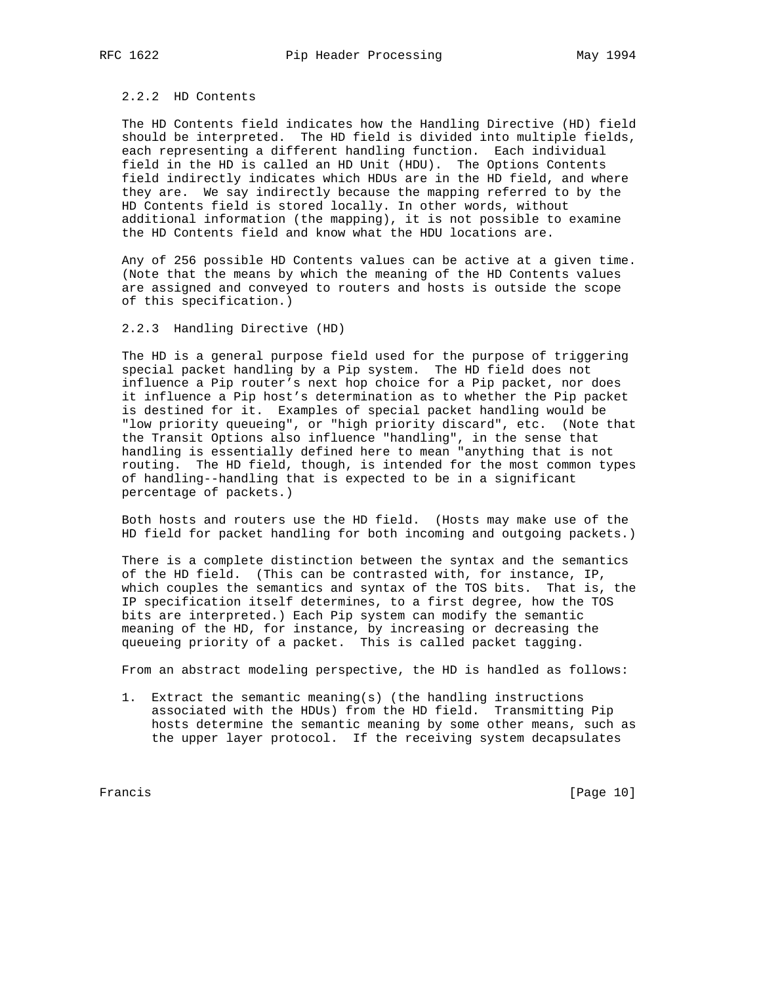## 2.2.2 HD Contents

 The HD Contents field indicates how the Handling Directive (HD) field should be interpreted. The HD field is divided into multiple fields, each representing a different handling function. Each individual field in the HD is called an HD Unit (HDU). The Options Contents field indirectly indicates which HDUs are in the HD field, and where they are. We say indirectly because the mapping referred to by the HD Contents field is stored locally. In other words, without additional information (the mapping), it is not possible to examine the HD Contents field and know what the HDU locations are.

 Any of 256 possible HD Contents values can be active at a given time. (Note that the means by which the meaning of the HD Contents values are assigned and conveyed to routers and hosts is outside the scope of this specification.)

## 2.2.3 Handling Directive (HD)

 The HD is a general purpose field used for the purpose of triggering special packet handling by a Pip system. The HD field does not influence a Pip router's next hop choice for a Pip packet, nor does it influence a Pip host's determination as to whether the Pip packet is destined for it. Examples of special packet handling would be "low priority queueing", or "high priority discard", etc. (Note that the Transit Options also influence "handling", in the sense that handling is essentially defined here to mean "anything that is not routing. The HD field, though, is intended for the most common types of handling--handling that is expected to be in a significant percentage of packets.)

 Both hosts and routers use the HD field. (Hosts may make use of the HD field for packet handling for both incoming and outgoing packets.)

 There is a complete distinction between the syntax and the semantics of the HD field. (This can be contrasted with, for instance, IP, which couples the semantics and syntax of the TOS bits. That is, the IP specification itself determines, to a first degree, how the TOS bits are interpreted.) Each Pip system can modify the semantic meaning of the HD, for instance, by increasing or decreasing the queueing priority of a packet. This is called packet tagging.

From an abstract modeling perspective, the HD is handled as follows:

 1. Extract the semantic meaning(s) (the handling instructions associated with the HDUs) from the HD field. Transmitting Pip hosts determine the semantic meaning by some other means, such as the upper layer protocol. If the receiving system decapsulates

Francis [Page 10]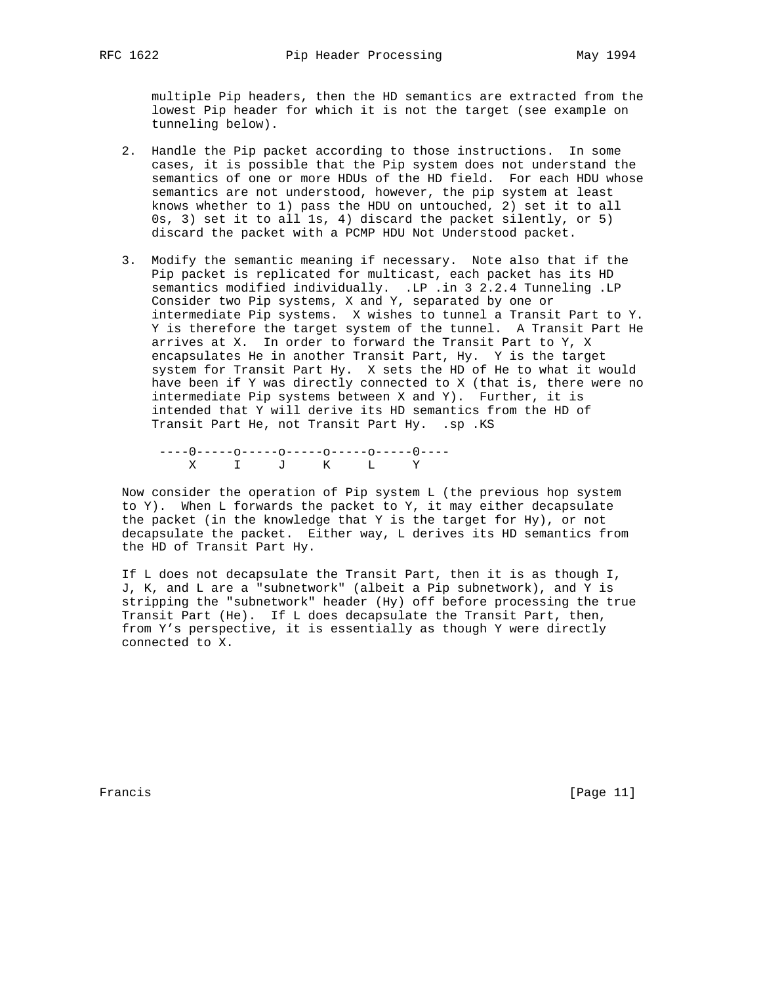multiple Pip headers, then the HD semantics are extracted from the lowest Pip header for which it is not the target (see example on tunneling below).

- 2. Handle the Pip packet according to those instructions. In some cases, it is possible that the Pip system does not understand the semantics of one or more HDUs of the HD field. For each HDU whose semantics are not understood, however, the pip system at least knows whether to 1) pass the HDU on untouched, 2) set it to all 0s, 3) set it to all 1s, 4) discard the packet silently, or 5) discard the packet with a PCMP HDU Not Understood packet.
- 3. Modify the semantic meaning if necessary. Note also that if the Pip packet is replicated for multicast, each packet has its HD semantics modified individually. .LP .in 3 2.2.4 Tunneling .LP Consider two Pip systems, X and Y, separated by one or intermediate Pip systems. X wishes to tunnel a Transit Part to Y. Y is therefore the target system of the tunnel. A Transit Part He arrives at X. In order to forward the Transit Part to Y, X encapsulates He in another Transit Part, Hy. Y is the target system for Transit Part Hy. X sets the HD of He to what it would have been if Y was directly connected to X (that is, there were no intermediate Pip systems between X and Y). Further, it is intended that Y will derive its HD semantics from the HD of Transit Part He, not Transit Part Hy. .sp .KS

 ----0-----o-----o-----o-----o-----0---- X I J K L Y

 Now consider the operation of Pip system L (the previous hop system to Y). When L forwards the packet to Y, it may either decapsulate the packet (in the knowledge that Y is the target for Hy), or not decapsulate the packet. Either way, L derives its HD semantics from the HD of Transit Part Hy.

 If L does not decapsulate the Transit Part, then it is as though I, J, K, and L are a "subnetwork" (albeit a Pip subnetwork), and Y is stripping the "subnetwork" header (Hy) off before processing the true Transit Part (He). If L does decapsulate the Transit Part, then, from Y's perspective, it is essentially as though Y were directly connected to X.

Francis [Page 11]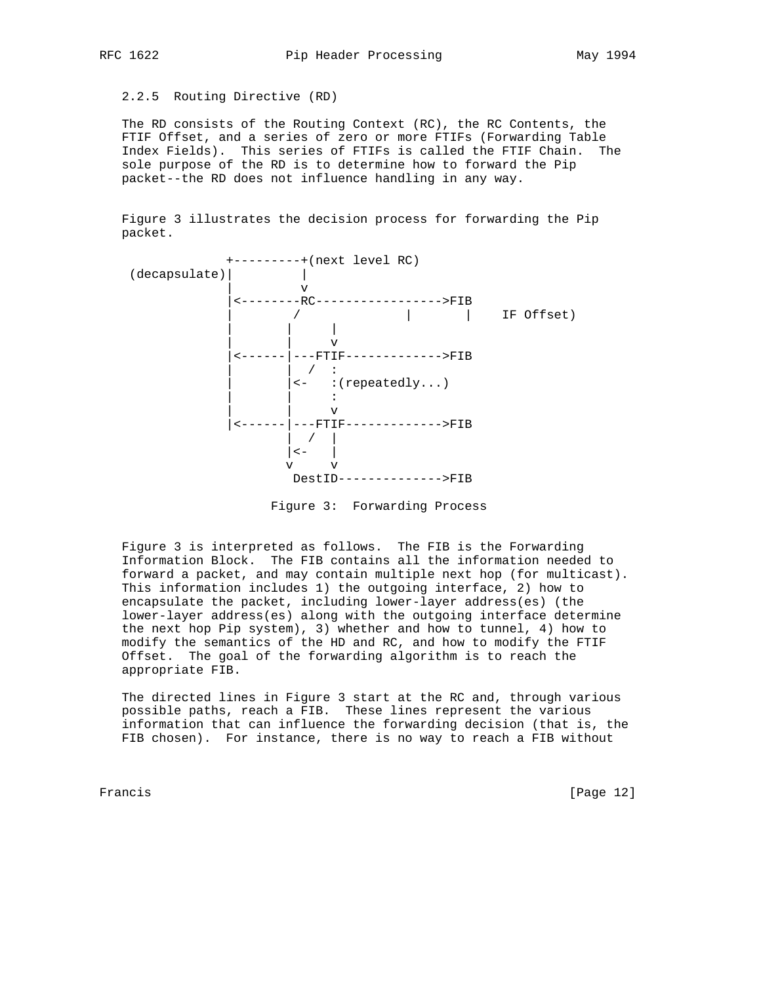2.2.5 Routing Directive (RD)

 The RD consists of the Routing Context (RC), the RC Contents, the FTIF Offset, and a series of zero or more FTIFs (Forwarding Table Index Fields). This series of FTIFs is called the FTIF Chain. The sole purpose of the RD is to determine how to forward the Pip packet--the RD does not influence handling in any way.

 Figure 3 illustrates the decision process for forwarding the Pip packet.



Figure 3: Forwarding Process

 Figure 3 is interpreted as follows. The FIB is the Forwarding Information Block. The FIB contains all the information needed to forward a packet, and may contain multiple next hop (for multicast). This information includes 1) the outgoing interface, 2) how to encapsulate the packet, including lower-layer address(es) (the lower-layer address(es) along with the outgoing interface determine the next hop Pip system), 3) whether and how to tunnel, 4) how to modify the semantics of the HD and RC, and how to modify the FTIF Offset. The goal of the forwarding algorithm is to reach the appropriate FIB.

 The directed lines in Figure 3 start at the RC and, through various possible paths, reach a FIB. These lines represent the various information that can influence the forwarding decision (that is, the FIB chosen). For instance, there is no way to reach a FIB without

Francis [Page 12]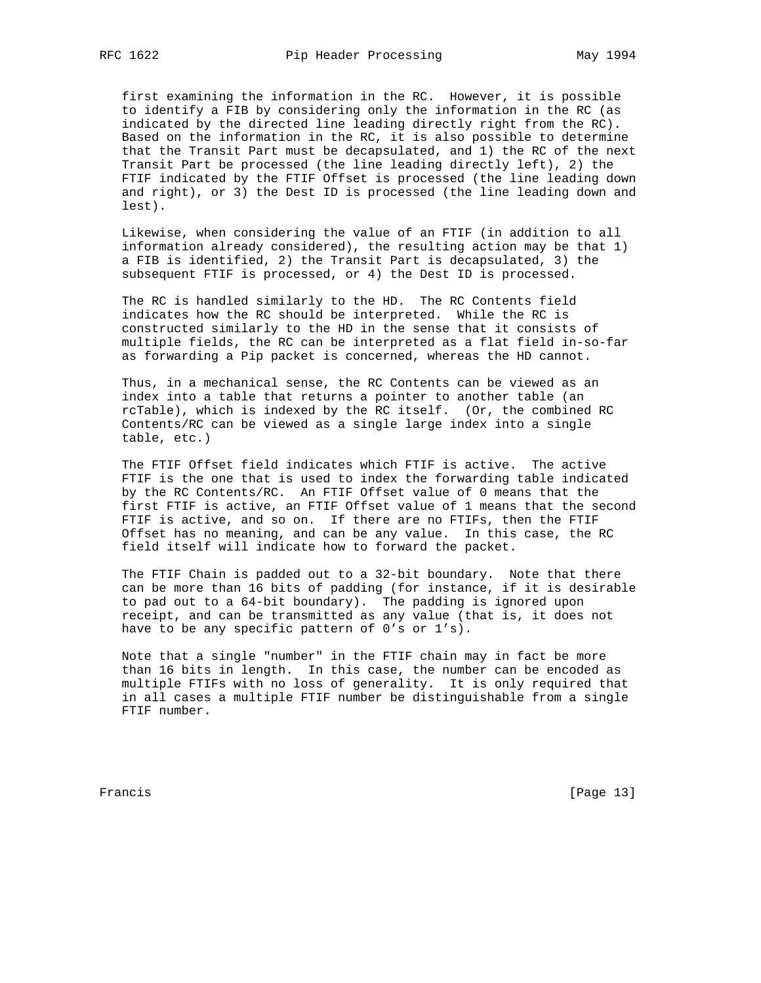first examining the information in the RC. However, it is possible to identify a FIB by considering only the information in the RC (as indicated by the directed line leading directly right from the RC). Based on the information in the RC, it is also possible to determine that the Transit Part must be decapsulated, and 1) the RC of the next Transit Part be processed (the line leading directly left), 2) the FTIF indicated by the FTIF Offset is processed (the line leading down and right), or 3) the Dest ID is processed (the line leading down and lest).

 Likewise, when considering the value of an FTIF (in addition to all information already considered), the resulting action may be that 1) a FIB is identified, 2) the Transit Part is decapsulated, 3) the subsequent FTIF is processed, or 4) the Dest ID is processed.

 The RC is handled similarly to the HD. The RC Contents field indicates how the RC should be interpreted. While the RC is constructed similarly to the HD in the sense that it consists of multiple fields, the RC can be interpreted as a flat field in-so-far as forwarding a Pip packet is concerned, whereas the HD cannot.

 Thus, in a mechanical sense, the RC Contents can be viewed as an index into a table that returns a pointer to another table (an rcTable), which is indexed by the RC itself. (Or, the combined RC Contents/RC can be viewed as a single large index into a single table, etc.)

 The FTIF Offset field indicates which FTIF is active. The active FTIF is the one that is used to index the forwarding table indicated by the RC Contents/RC. An FTIF Offset value of 0 means that the first FTIF is active, an FTIF Offset value of 1 means that the second FTIF is active, and so on. If there are no FTIFs, then the FTIF Offset has no meaning, and can be any value. In this case, the RC field itself will indicate how to forward the packet.

 The FTIF Chain is padded out to a 32-bit boundary. Note that there can be more than 16 bits of padding (for instance, if it is desirable to pad out to a 64-bit boundary). The padding is ignored upon receipt, and can be transmitted as any value (that is, it does not have to be any specific pattern of 0's or 1's).

 Note that a single "number" in the FTIF chain may in fact be more than 16 bits in length. In this case, the number can be encoded as multiple FTIFs with no loss of generality. It is only required that in all cases a multiple FTIF number be distinguishable from a single FTIF number.

Francis [Page 13]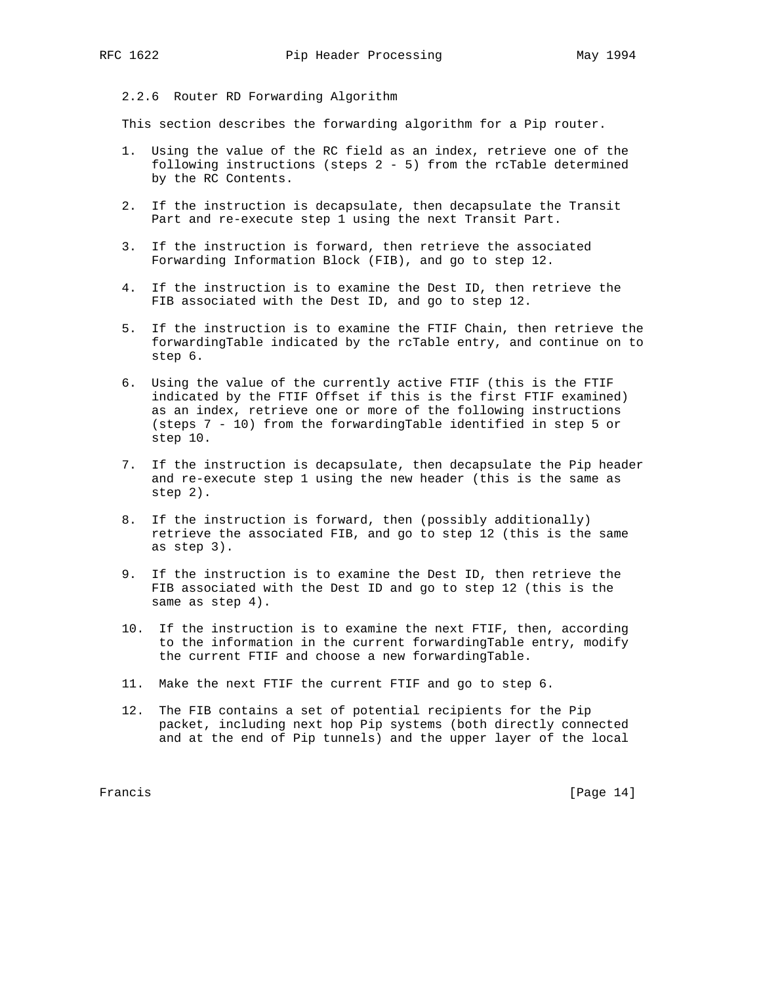# 2.2.6 Router RD Forwarding Algorithm

This section describes the forwarding algorithm for a Pip router.

- 1. Using the value of the RC field as an index, retrieve one of the following instructions (steps 2 - 5) from the rcTable determined by the RC Contents.
- 2. If the instruction is decapsulate, then decapsulate the Transit Part and re-execute step 1 using the next Transit Part.
- 3. If the instruction is forward, then retrieve the associated Forwarding Information Block (FIB), and go to step 12.
- 4. If the instruction is to examine the Dest ID, then retrieve the FIB associated with the Dest ID, and go to step 12.
- 5. If the instruction is to examine the FTIF Chain, then retrieve the forwardingTable indicated by the rcTable entry, and continue on to step 6.
- 6. Using the value of the currently active FTIF (this is the FTIF indicated by the FTIF Offset if this is the first FTIF examined) as an index, retrieve one or more of the following instructions (steps 7 - 10) from the forwardingTable identified in step 5 or step 10.
- 7. If the instruction is decapsulate, then decapsulate the Pip header and re-execute step 1 using the new header (this is the same as step 2).
- 8. If the instruction is forward, then (possibly additionally) retrieve the associated FIB, and go to step 12 (this is the same as step 3).
- 9. If the instruction is to examine the Dest ID, then retrieve the FIB associated with the Dest ID and go to step 12 (this is the same as step 4).
- 10. If the instruction is to examine the next FTIF, then, according to the information in the current forwardingTable entry, modify the current FTIF and choose a new forwardingTable.
- 11. Make the next FTIF the current FTIF and go to step 6.
- 12. The FIB contains a set of potential recipients for the Pip packet, including next hop Pip systems (both directly connected and at the end of Pip tunnels) and the upper layer of the local

Francis [Page 14]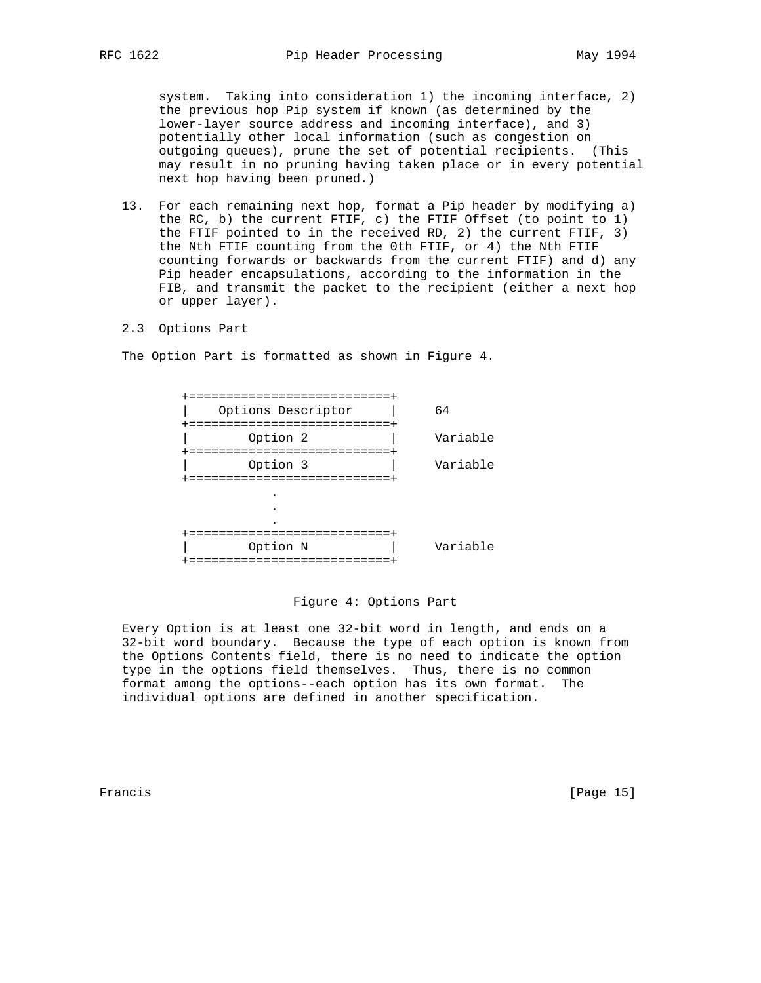system. Taking into consideration 1) the incoming interface, 2) the previous hop Pip system if known (as determined by the lower-layer source address and incoming interface), and 3) potentially other local information (such as congestion on outgoing queues), prune the set of potential recipients. (This may result in no pruning having taken place or in every potential next hop having been pruned.)

- 13. For each remaining next hop, format a Pip header by modifying a) the RC, b) the current FTIF, c) the FTIF Offset (to point to 1) the FTIF pointed to in the received RD, 2) the current FTIF, 3) the Nth FTIF counting from the 0th FTIF, or 4) the Nth FTIF counting forwards or backwards from the current FTIF) and d) any Pip header encapsulations, according to the information in the FIB, and transmit the packet to the recipient (either a next hop or upper layer).
- 2.3 Options Part

The Option Part is formatted as shown in Figure 4.

| ===================<br>Options Descriptor<br>======================= | 64       |
|----------------------------------------------------------------------|----------|
| Option 2                                                             | Variable |
| =======================<br>Option 3<br>=======================       | Variable |
|                                                                      |          |
|                                                                      |          |
| ================<br>Option N<br>==================                   | Variable |

#### Figure 4: Options Part

 Every Option is at least one 32-bit word in length, and ends on a 32-bit word boundary. Because the type of each option is known from the Options Contents field, there is no need to indicate the option type in the options field themselves. Thus, there is no common format among the options--each option has its own format. The individual options are defined in another specification.

Francis [Page 15]